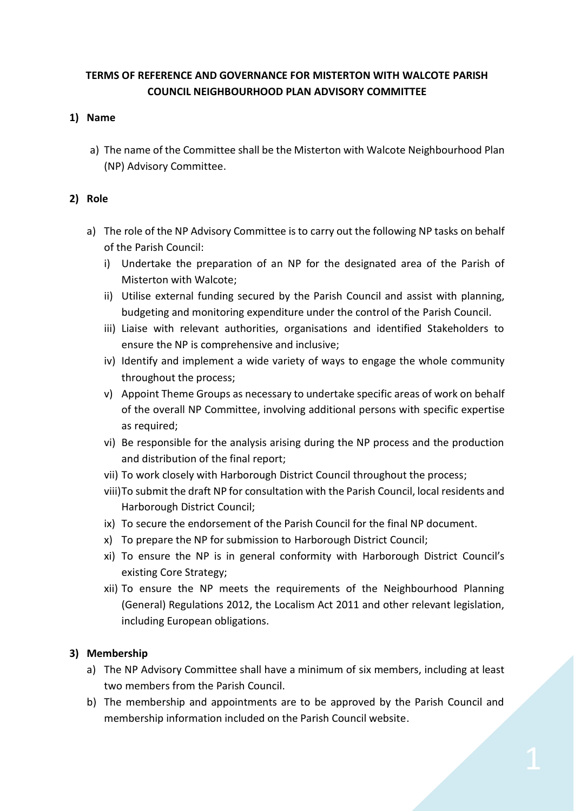# **TERMS OF REFERENCE AND GOVERNANCE FOR MISTERTON WITH WALCOTE PARISH COUNCIL NEIGHBOURHOOD PLAN ADVISORY COMMITTEE**

### **1) Name**

a) The name of the Committee shall be the Misterton with Walcote Neighbourhood Plan (NP) Advisory Committee.

### **2) Role**

- a) The role of the NP Advisory Committee is to carry out the following NP tasks on behalf of the Parish Council:
	- i) Undertake the preparation of an NP for the designated area of the Parish of Misterton with Walcote;
	- ii) Utilise external funding secured by the Parish Council and assist with planning, budgeting and monitoring expenditure under the control of the Parish Council.
	- iii) Liaise with relevant authorities, organisations and identified Stakeholders to ensure the NP is comprehensive and inclusive;
	- iv) Identify and implement a wide variety of ways to engage the whole community throughout the process;
	- v) Appoint Theme Groups as necessary to undertake specific areas of work on behalf of the overall NP Committee, involving additional persons with specific expertise as required;
	- vi) Be responsible for the analysis arising during the NP process and the production and distribution of the final report;
	- vii) To work closely with Harborough District Council throughout the process;
	- viii)To submit the draft NP for consultation with the Parish Council, local residents and Harborough District Council;
	- ix) To secure the endorsement of the Parish Council for the final NP document.
	- x) To prepare the NP for submission to Harborough District Council;
	- xi) To ensure the NP is in general conformity with Harborough District Council's existing Core Strategy;
	- xii) To ensure the NP meets the requirements of the Neighbourhood Planning (General) Regulations 2012, the Localism Act 2011 and other relevant legislation, including European obligations.

# **3) Membership**

- a) The NP Advisory Committee shall have a minimum of six members, including at least two members from the Parish Council.
- b) The membership and appointments are to be approved by the Parish Council and membership information included on the Parish Council website.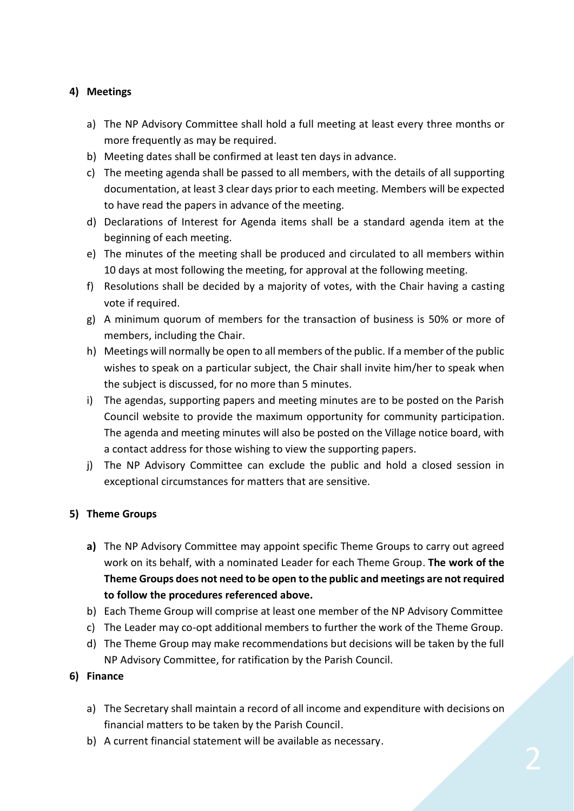# **4) Meetings**

- a) The NP Advisory Committee shall hold a full meeting at least every three months or more frequently as may be required.
- b) Meeting dates shall be confirmed at least ten days in advance.
- c) The meeting agenda shall be passed to all members, with the details of all supporting documentation, at least 3 clear days prior to each meeting. Members will be expected to have read the papers in advance of the meeting.
- d) Declarations of Interest for Agenda items shall be a standard agenda item at the beginning of each meeting.
- e) The minutes of the meeting shall be produced and circulated to all members within 10 days at most following the meeting, for approval at the following meeting.
- f) Resolutions shall be decided by a majority of votes, with the Chair having a casting vote if required.
- g) A minimum quorum of members for the transaction of business is 50% or more of members, including the Chair.
- h) Meetings will normally be open to all members of the public. If a member of the public wishes to speak on a particular subject, the Chair shall invite him/her to speak when the subject is discussed, for no more than 5 minutes.
- i) The agendas, supporting papers and meeting minutes are to be posted on the Parish Council website to provide the maximum opportunity for community participation. The agenda and meeting minutes will also be posted on the Village notice board, with a contact address for those wishing to view the supporting papers.
- j) The NP Advisory Committee can exclude the public and hold a closed session in exceptional circumstances for matters that are sensitive.

### **5) Theme Groups**

- **a)** The NP Advisory Committee may appoint specific Theme Groups to carry out agreed work on its behalf, with a nominated Leader for each Theme Group. **The work of the Theme Groups does not need to be open to the public and meetings are not required to follow the procedures referenced above.**
- b) Each Theme Group will comprise at least one member of the NP Advisory Committee
- c) The Leader may co-opt additional members to further the work of the Theme Group.
- d) The Theme Group may make recommendations but decisions will be taken by the full NP Advisory Committee, for ratification by the Parish Council.

### **6) Finance**

- a) The Secretary shall maintain a record of all income and expenditure with decisions on financial matters to be taken by the Parish Council.
- b) A current financial statement will be available as necessary.